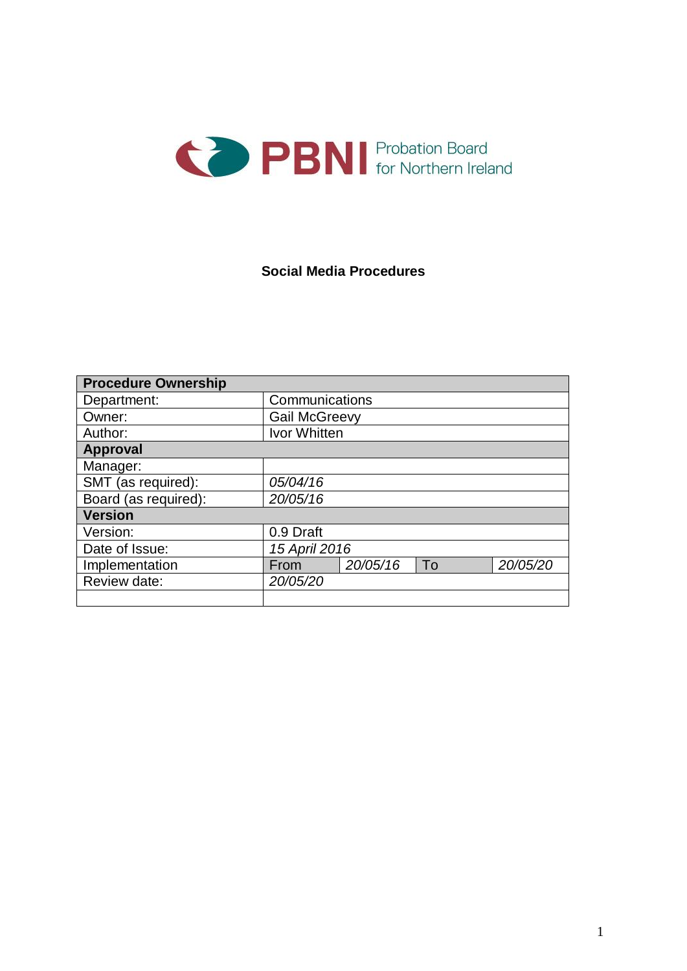

### **Social Media Procedures**

| <b>Procedure Ownership</b> |                      |          |    |          |  |
|----------------------------|----------------------|----------|----|----------|--|
| Department:                | Communications       |          |    |          |  |
| Owner:                     | <b>Gail McGreevy</b> |          |    |          |  |
| Author:                    | Ivor Whitten         |          |    |          |  |
| <b>Approval</b>            |                      |          |    |          |  |
| Manager:                   |                      |          |    |          |  |
| SMT (as required):         | 05/04/16             |          |    |          |  |
| Board (as required):       | 20/05/16             |          |    |          |  |
| <b>Version</b>             |                      |          |    |          |  |
| Version:                   | 0.9 Draft            |          |    |          |  |
| Date of Issue:             | 15 April 2016        |          |    |          |  |
| Implementation             | From                 | 20/05/16 | To | 20/05/20 |  |
| Review date:               | 20/05/20             |          |    |          |  |
|                            |                      |          |    |          |  |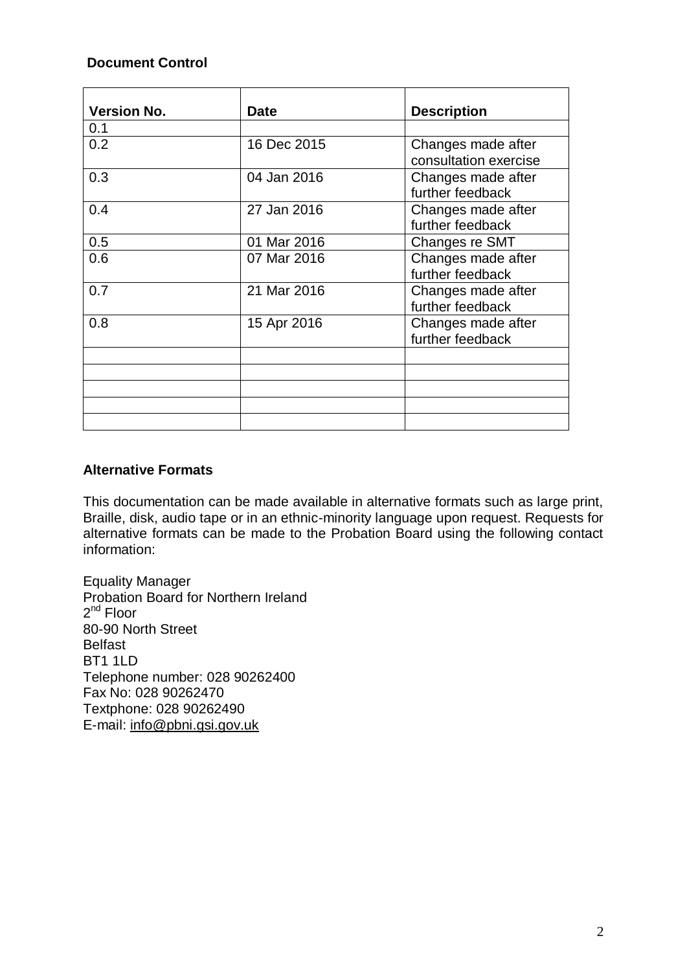### **Document Control**

| <b>Version No.</b> | <b>Date</b> | <b>Description</b>                          |  |
|--------------------|-------------|---------------------------------------------|--|
| 0.1                |             |                                             |  |
| 0.2                | 16 Dec 2015 | Changes made after<br>consultation exercise |  |
| 0.3                | 04 Jan 2016 | Changes made after<br>further feedback      |  |
| 0.4                | 27 Jan 2016 | Changes made after<br>further feedback      |  |
| 0.5                | 01 Mar 2016 | Changes re SMT                              |  |
| 0.6                | 07 Mar 2016 | Changes made after<br>further feedback      |  |
| 0.7                | 21 Mar 2016 | Changes made after<br>further feedback      |  |
| 0.8                | 15 Apr 2016 | Changes made after<br>further feedback      |  |
|                    |             |                                             |  |
|                    |             |                                             |  |
|                    |             |                                             |  |
|                    |             |                                             |  |
|                    |             |                                             |  |

### **Alternative Formats**

This documentation can be made available in alternative formats such as large print, Braille, disk, audio tape or in an ethnic-minority language upon request. Requests for alternative formats can be made to the Probation Board using the following contact information:

Equality Manager Probation Board for Northern Ireland 2<sup>nd</sup> Floor 80-90 North Street Belfast BT1 1LD Telephone number: 028 90262400 Fax No: 028 90262470 Textphone: 028 90262490 E-mail: [info@pbni.gsi.gov.uk](mailto:info@pbni.gsi.gov.uk)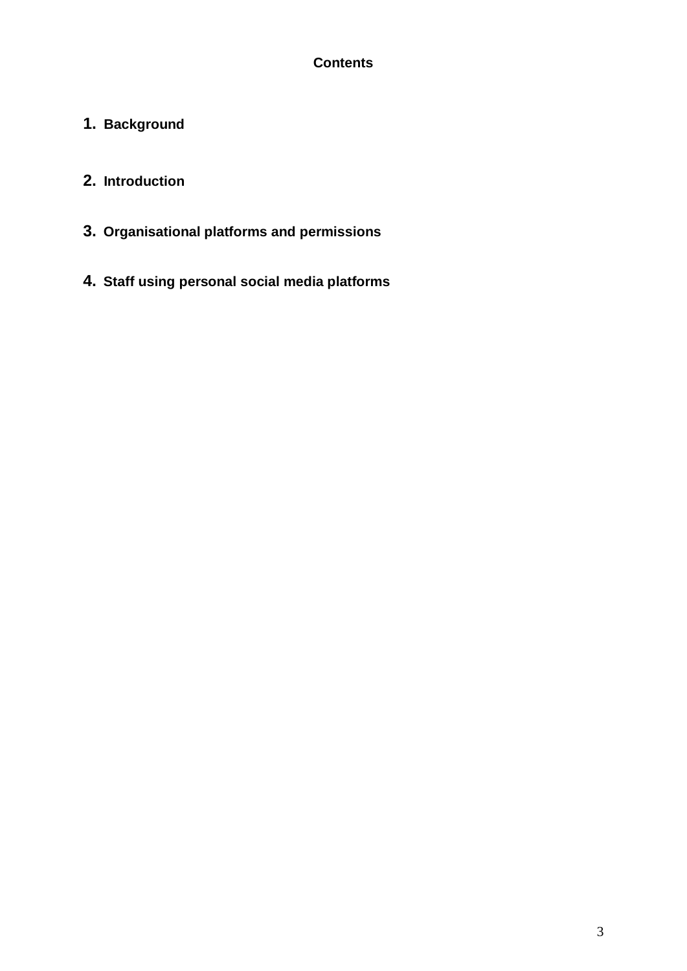# **Contents**

**1. Background**

# **2. Introduction**

- **3. Organisational platforms and permissions**
- **4. Staff using personal social media platforms**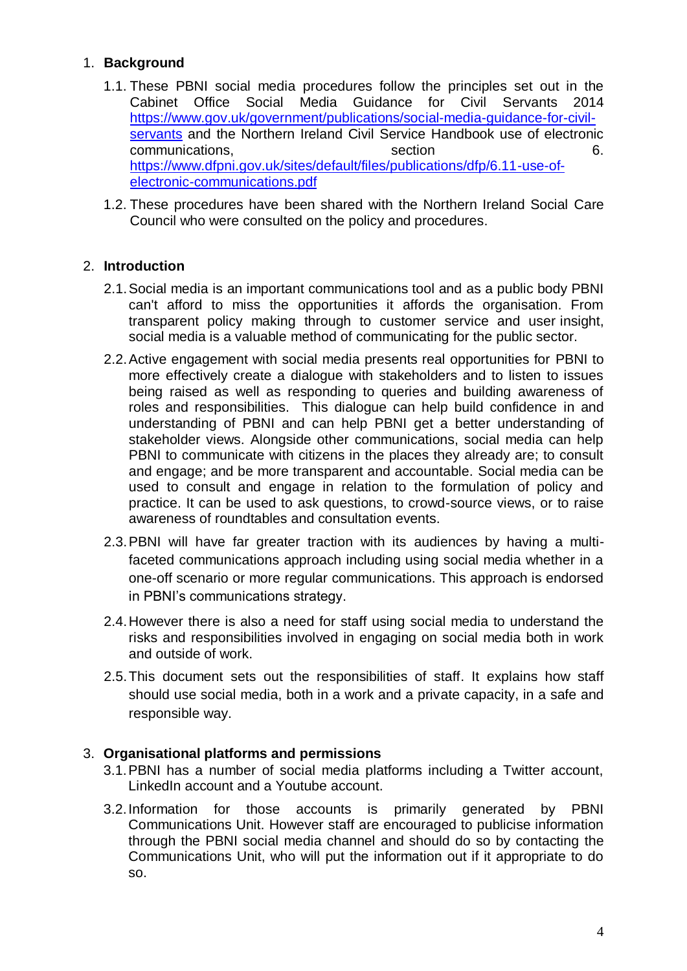## 1. **Background**

- 1.1. These PBNI social media procedures follow the principles set out in the Cabinet Office Social Media Guidance for Civil Servants 2014 [https://www.gov.uk/government/publications/social-media-guidance-for-civil](https://www.gov.uk/government/publications/social-media-guidance-for-civil-servants)[servants](https://www.gov.uk/government/publications/social-media-guidance-for-civil-servants) and the Northern Ireland Civil Service Handbook use of electronic communications. Communications, the section of the section of  $\epsilon$ . [https://www.dfpni.gov.uk/sites/default/files/publications/dfp/6.11-use-of](https://www.dfpni.gov.uk/sites/default/files/publications/dfp/6.11-use-of-electronic-communications.pdf)[electronic-communications.pdf](https://www.dfpni.gov.uk/sites/default/files/publications/dfp/6.11-use-of-electronic-communications.pdf)
- 1.2. These procedures have been shared with the Northern Ireland Social Care Council who were consulted on the policy and procedures.

### 2. **Introduction**

- 2.1.Social media is an important communications tool and as a public body PBNI can't afford to miss the opportunities it affords the organisation. From transparent policy making through to customer service and user insight, social media is a valuable method of communicating for the public sector.
- 2.2.Active engagement with social media presents real opportunities for PBNI to more effectively create a dialogue with stakeholders and to listen to issues being raised as well as responding to queries and building awareness of roles and responsibilities. This dialogue can help build confidence in and understanding of PBNI and can help PBNI get a better understanding of stakeholder views. Alongside other communications, social media can help PBNI to communicate with citizens in the places they already are; to consult and engage; and be more transparent and accountable. Social media can be used to consult and engage in relation to the formulation of policy and practice. It can be used to ask questions, to crowd-source views, or to raise awareness of roundtables and consultation events.
- 2.3.PBNI will have far greater traction with its audiences by having a multifaceted communications approach including using social media whether in a one-off scenario or more regular communications. This approach is endorsed in PBNI's communications strategy.
- 2.4.However there is also a need for staff using social media to understand the risks and responsibilities involved in engaging on social media both in work and outside of work.
- 2.5.This document sets out the responsibilities of staff. It explains how staff should use social media, both in a work and a private capacity, in a safe and responsible way.

### 3. **Organisational platforms and permissions**

- 3.1.PBNI has a number of social media platforms including a Twitter account, LinkedIn account and a Youtube account.
- 3.2.Information for those accounts is primarily generated by PBNI Communications Unit. However staff are encouraged to publicise information through the PBNI social media channel and should do so by contacting the Communications Unit, who will put the information out if it appropriate to do so.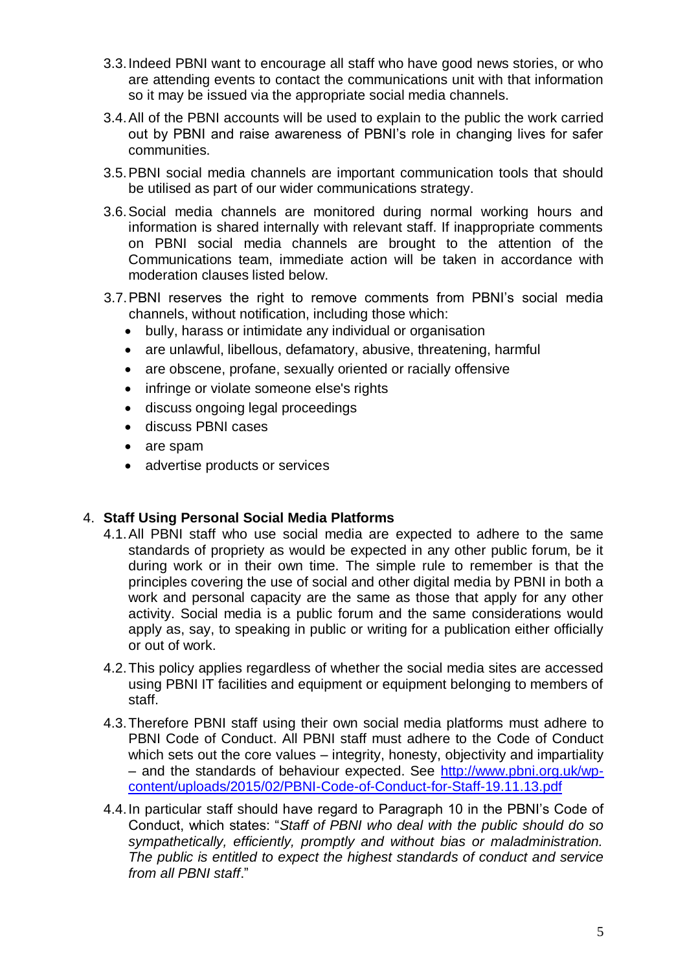- 3.3.Indeed PBNI want to encourage all staff who have good news stories, or who are attending events to contact the communications unit with that information so it may be issued via the appropriate social media channels.
- 3.4.All of the PBNI accounts will be used to explain to the public the work carried out by PBNI and raise awareness of PBNI's role in changing lives for safer communities.
- 3.5.PBNI social media channels are important communication tools that should be utilised as part of our wider communications strategy.
- 3.6.Social media channels are monitored during normal working hours and information is shared internally with relevant staff. If inappropriate comments on PBNI social media channels are brought to the attention of the Communications team, immediate action will be taken in accordance with moderation clauses listed below.
- 3.7.PBNI reserves the right to remove comments from PBNI's social media channels, without notification, including those which:
	- bully, harass or intimidate any individual or organisation
	- are unlawful, libellous, defamatory, abusive, threatening, harmful
	- are obscene, profane, sexually oriented or racially offensive
	- infringe or violate someone else's rights
	- discuss ongoing legal proceedings
	- discuss PBNI cases
	- are spam
	- advertise products or services

### 4. **Staff Using Personal Social Media Platforms**

- 4.1.All PBNI staff who use social media are expected to adhere to the same standards of propriety as would be expected in any other public forum, be it during work or in their own time. The simple rule to remember is that the principles covering the use of social and other digital media by PBNI in both a work and personal capacity are the same as those that apply for any other activity. Social media is a public forum and the same considerations would apply as, say, to speaking in public or writing for a publication either officially or out of work.
- 4.2.This policy applies regardless of whether the social media sites are accessed using PBNI IT facilities and equipment or equipment belonging to members of staff.
- 4.3.Therefore PBNI staff using their own social media platforms must adhere to PBNI Code of Conduct. All PBNI staff must adhere to the Code of Conduct which sets out the core values – integrity, honesty, objectivity and impartiality – and the standards of behaviour expected. See [http://www.pbni.org.uk/wp](http://www.pbni.org.uk/wp-content/uploads/2015/02/PBNI-Code-of-Conduct-for-Staff-19.11.13.pdf)[content/uploads/2015/02/PBNI-Code-of-Conduct-for-Staff-19.11.13.pdf](http://www.pbni.org.uk/wp-content/uploads/2015/02/PBNI-Code-of-Conduct-for-Staff-19.11.13.pdf)
- 4.4.In particular staff should have regard to Paragraph 10 in the PBNI's Code of Conduct, which states: "*Staff of PBNI who deal with the public should do so sympathetically, efficiently, promptly and without bias or maladministration. The public is entitled to expect the highest standards of conduct and service from all PBNI staff*."